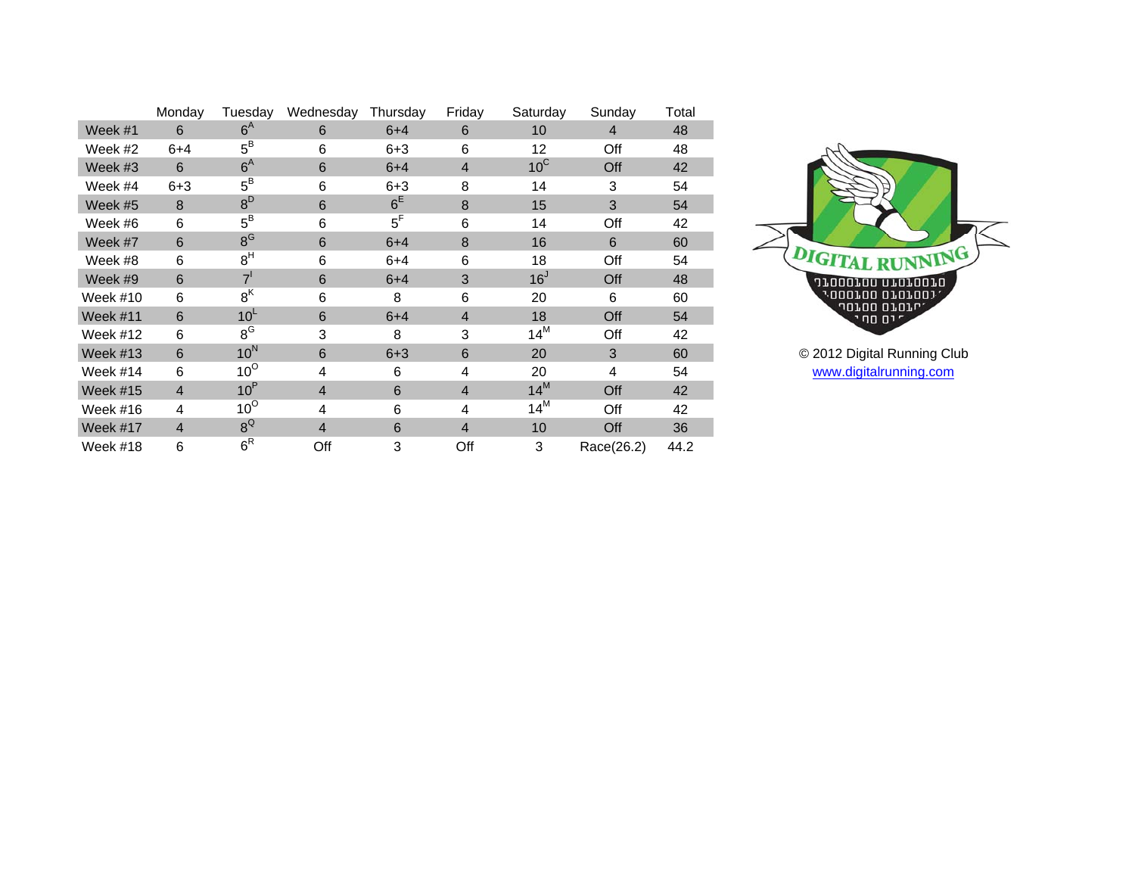|                 | Monday         | Tuesday          | Wednesday      | Thursday | Friday         | Saturday        | Sunday     | Total |
|-----------------|----------------|------------------|----------------|----------|----------------|-----------------|------------|-------|
| Week #1         | 6              | $6^{\text{A}}$   | 6              | $6 + 4$  | 6              | 10              | 4          | 48    |
| Week #2         | $6 + 4$        | $5^{\text{B}}$   | 6              | $6 + 3$  | 6              | 12              | Off        | 48    |
| Week #3         | 6              | $6^{\text{A}}$   | 6              | $6 + 4$  | $\overline{4}$ | $10^{\circ}$    | Off        | 42    |
| Week #4         | $6 + 3$        | $5^{\text{B}}$   | 6              | $6 + 3$  | 8              | 14              | 3          | 54    |
| Week #5         | 8              | $8^D$            | 6              | $6^E$    | 8              | 15              | 3          | 54    |
| Week #6         | 6              | $5^{\text{B}}$   | 6              | $5^F$    | 6              | 14              | Off        | 42    |
| Week #7         | 6              | 8 <sup>G</sup>   | 6              | $6 + 4$  | 8              | 16              | 6          | 60    |
| Week #8         | 6              | 8 <sup>H</sup>   | 6              | $6 + 4$  | 6              | 18              | Off        | 54    |
| Week #9         | 6              | 7 <sup>1</sup>   | 6              | $6 + 4$  | 3              | 16 <sup>J</sup> | Off        | 48    |
| Week #10        | 6              | 8 <sup>K</sup>   | 6              | 8        | 6              | 20              | 6          | 60    |
| Week #11        | 6              | 10 <sup>L</sup>  | 6              | $6 + 4$  | $\overline{4}$ | 18              | Off        | 54    |
| Week #12        | 6              | $8^{\text{G}}$   | 3              | 8        | 3              | $14^M$          | Off        | 42    |
| Week #13        | 6              | 10 <sup>N</sup>  | 6              | $6 + 3$  | 6              | 20              | 3          | 60    |
| Week #14        | 6              | $10^{\circ}$     | 4              | 6        | 4              | 20              | 4          | 54    |
| <b>Week #15</b> | $\overline{4}$ | 10 <sup>P</sup>  | $\overline{4}$ | 6        | $\overline{4}$ | $14^M$          | Off        | 42    |
| Week #16        | 4              | $10^{\circ}$     | 4              | 6        | 4              | $14^M$          | Off        | 42    |
| Week #17        | $\overline{4}$ | $8^{\text{Q}}$   | $\overline{4}$ | 6        | $\overline{4}$ | 10              | Off        | 36    |
| Week #18        | 6              | $6^{\mathsf{R}}$ | Off            | 3        | Off            | $\mathbf{3}$    | Race(26.2) | 44.2  |



 60 © 2012 Digital Running Club [www.digitalrunning.com](http://www.digitalrunning.com/)